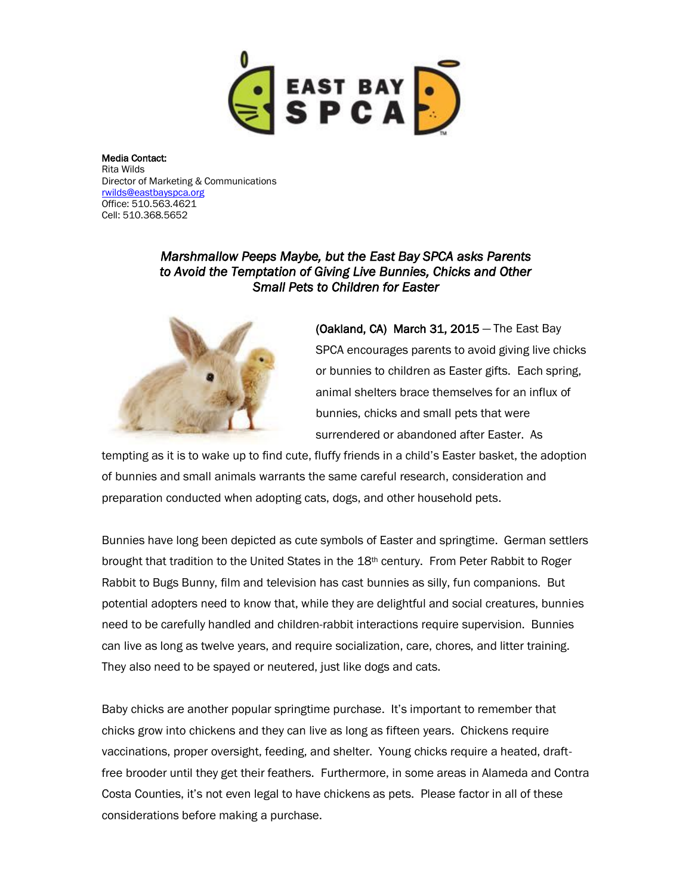

Media Contact: Rita Wilds Director of Marketing & Communications [rwilds@eastbayspca.org](mailto:rwilds@eastbayspca.org) Office: 510.563.4621 Cell: 510.368.5652

## *Marshmallow Peeps Maybe, but the East Bay SPCA asks Parents to Avoid the Temptation of Giving Live Bunnies, Chicks and Other Small Pets to Children for Easter*



(Oakland, CA) March 31, 2015 — The East Bay SPCA encourages parents to avoid giving live chicks or bunnies to children as Easter gifts. Each spring, animal shelters brace themselves for an influx of bunnies, chicks and small pets that were surrendered or abandoned after Easter. As

tempting as it is to wake up to find cute, fluffy friends in a child's Easter basket, the adoption of bunnies and small animals warrants the same careful research, consideration and preparation conducted when adopting cats, dogs, and other household pets.

Bunnies have long been depicted as cute symbols of Easter and springtime. German settlers brought that tradition to the United States in the 18th century. From Peter Rabbit to Roger Rabbit to Bugs Bunny, film and television has cast bunnies as silly, fun companions. But potential adopters need to know that, while they are delightful and social creatures, bunnies need to be carefully handled and children-rabbit interactions require supervision. Bunnies can live as long as twelve years, and require socialization, care, chores, and litter training. They also need to be spayed or neutered, just like dogs and cats.

Baby chicks are another popular springtime purchase. It's important to remember that chicks grow into chickens and they can live as long as fifteen years. Chickens require vaccinations, proper oversight, feeding, and shelter. Young chicks require a heated, draftfree brooder until they get their feathers. Furthermore, in some areas in Alameda and Contra Costa Counties, it's not even legal to have chickens as pets. Please factor in all of these considerations before making a purchase.